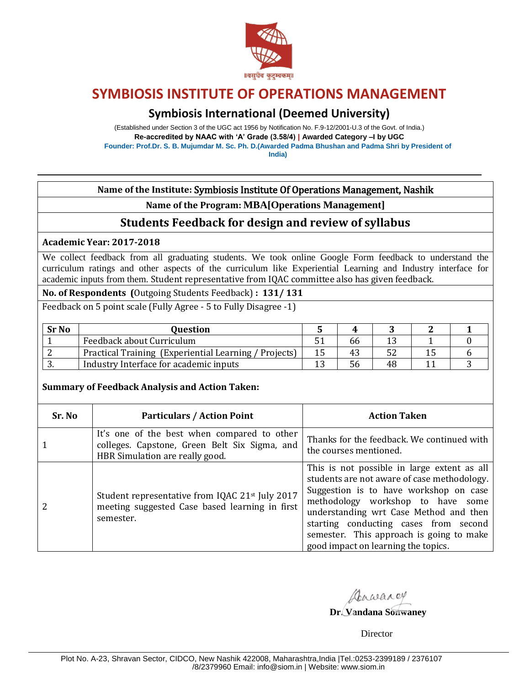

## **Symbiosis International (Deemed University)**

(Established under Section 3 of the UGC act 1956 by Notification No. F.9-12/2001-U.3 of the Govt. of India.) **Re-accredited by NAAC with 'A' Grade (3.58/4) | Awarded Category –I by UGC Founder: Prof.Dr. S. B. Mujumdar M. Sc. Ph. D.(Awarded Padma Bhushan and Padma Shri by President of India)**

**Name of the Institute:** Symbiosis Institute Of Operations Management, Nashik

**Name of the Program: MBA[Operations Management]**

## **Students Feedback for design and review of syllabus**

**Academic Year: 2017-2018** 

We collect feedback from all graduating students. We took online Google Form feedback to understand the curriculum ratings and other aspects of the curriculum like Experiential Learning and Industry interface for academic inputs from them. Student representative from IQAC committee also has given feedback.

**No. of Respondents (**Outgoing Students Feedback) **: 131/ 131** 

Feedback on 5 point scale (Fully Agree - 5 to Fully Disagree -1)

| <b>Sr No</b> | Ouestion                                              |    |    |  |
|--------------|-------------------------------------------------------|----|----|--|
|              | Feedback about Curriculum                             | 66 |    |  |
|              | Practical Training (Experiential Learning / Projects) | 43 | 52 |  |
| . ບ.         | Industry Interface for academic inputs                | 56 | 48 |  |

### **Summary of Feedback Analysis and Action Taken:**

| Sr. No | <b>Particulars / Action Point</b>                                                                                               | <b>Action Taken</b>                                                                                                                                                                                                                                                                                                                             |
|--------|---------------------------------------------------------------------------------------------------------------------------------|-------------------------------------------------------------------------------------------------------------------------------------------------------------------------------------------------------------------------------------------------------------------------------------------------------------------------------------------------|
|        | It's one of the best when compared to other<br>colleges. Capstone, Green Belt Six Sigma, and<br>HBR Simulation are really good. | Thanks for the feedback. We continued with<br>the courses mentioned.                                                                                                                                                                                                                                                                            |
|        | Student representative from IQAC 21 <sup>st</sup> July 2017<br>meeting suggested Case based learning in first<br>semester.      | This is not possible in large extent as all<br>students are not aware of case methodology.<br>Suggestion is to have workshop on case<br>methodology workshop to have some<br>understanding wrt Case Method and then<br>starting conducting cases from second<br>semester. This approach is going to make<br>good impact on learning the topics. |

Dawarey

**Dr. Vandana Sonwaney**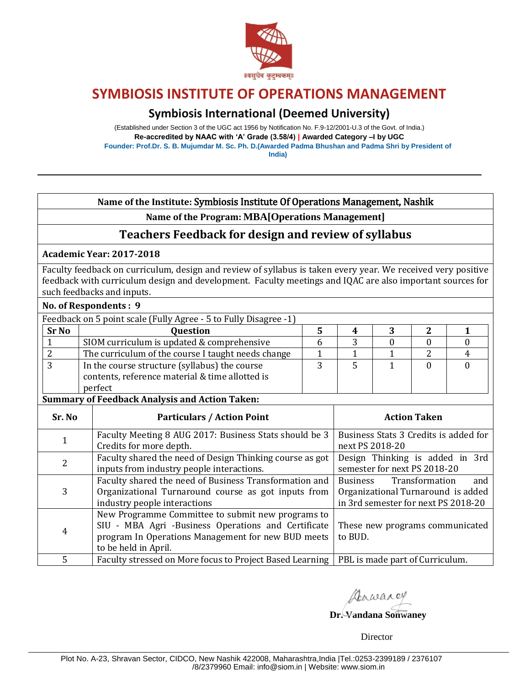

### **Symbiosis International (Deemed University)**

(Established under Section 3 of the UGC act 1956 by Notification No. F.9-12/2001-U.3 of the Govt. of India.) **Re-accredited by NAAC with 'A' Grade (3.58/4) | Awarded Category –I by UGC Founder: Prof.Dr. S. B. Mujumdar M. Sc. Ph. D.(Awarded Padma Bhushan and Padma Shri by President of India)**

### **Name of the Institute:** Symbiosis Institute Of Operations Management, Nashik

**Name of the Program: MBA[Operations Management]**

### **Teachers Feedback for design and review of syllabus**

#### **Academic Year: 2017-2018**

İ

Faculty feedback on curriculum, design and review of syllabus is taken every year. We received very positive feedback with curriculum design and development. Faculty meetings and IQAC are also important sources for such feedbacks and inputs.

|                                                                  |                                                             | No. of Respondents : 9 |  |  |  |
|------------------------------------------------------------------|-------------------------------------------------------------|------------------------|--|--|--|
| Feedback on 5 point scale (Fully Agree - 5 to Fully Disagree -1) |                                                             |                        |  |  |  |
| <b>Question</b>                                                  |                                                             |                        |  |  |  |
| SIOM curriculum is updated & comprehensive                       |                                                             |                        |  |  |  |
| The curriculum of the course I taught needs change               |                                                             |                        |  |  |  |
| In the course structure (syllabus) the course                    |                                                             |                        |  |  |  |
| contents, reference material & time allotted is                  |                                                             |                        |  |  |  |
| perfect                                                          |                                                             |                        |  |  |  |
|                                                                  | $\sim$ $\sim$ $\sim$ $\sim$ $\sim$ $\sim$ $\sim$<br>.<br>-- |                        |  |  |  |

#### **Summary of Feedback Analysis and Action Taken:**

| Sr. No         | <b>Particulars / Action Point</b>                                                                                                                                                      | <b>Action Taken</b>                                                                                                   |
|----------------|----------------------------------------------------------------------------------------------------------------------------------------------------------------------------------------|-----------------------------------------------------------------------------------------------------------------------|
|                | Faculty Meeting 8 AUG 2017: Business Stats should be 3<br>Credits for more depth.                                                                                                      | Business Stats 3 Credits is added for<br>next PS 2018-20                                                              |
| $\overline{2}$ | Faculty shared the need of Design Thinking course as got<br>inputs from industry people interactions.                                                                                  | Design Thinking is added in 3rd<br>semester for next PS 2018-20                                                       |
| 3              | Faculty shared the need of Business Transformation and<br>Organizational Turnaround course as got inputs from<br>industry people interactions                                          | <b>Business</b><br>Transformation<br>and<br>Organizational Turnaround is added<br>in 3rd semester for next PS 2018-20 |
| $\overline{4}$ | New Programme Committee to submit new programs to<br>SIU - MBA Agri -Business Operations and Certificate<br>program In Operations Management for new BUD meets<br>to be held in April. | These new programs communicated<br>to BUD.                                                                            |
| 5              | Faculty stressed on More focus to Project Based Learning   PBL is made part of Curriculum.                                                                                             |                                                                                                                       |

Dawarey

**Dr. Vandana Sonwaney**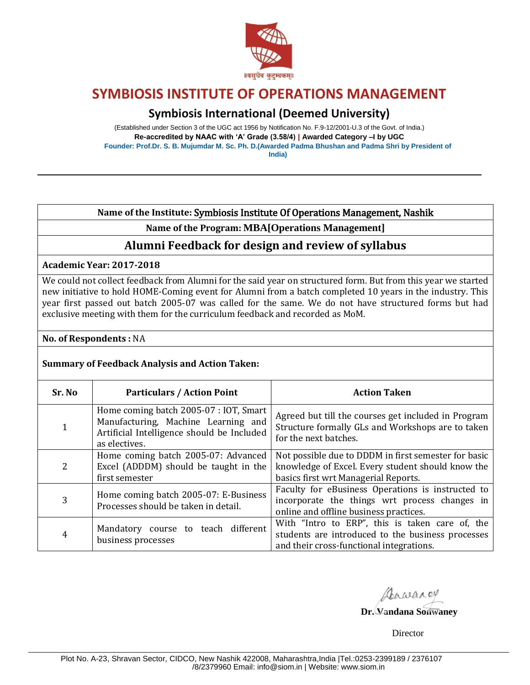

## **Symbiosis International (Deemed University)**

(Established under Section 3 of the UGC act 1956 by Notification No. F.9-12/2001-U.3 of the Govt. of India.) **Re-accredited by NAAC with 'A' Grade (3.58/4) | Awarded Category –I by UGC Founder: Prof.Dr. S. B. Mujumdar M. Sc. Ph. D.(Awarded Padma Bhushan and Padma Shri by President of India)**

### **Name of the Institute:** Symbiosis Institute Of Operations Management, Nashik

**Name of the Program: MBA[Operations Management]**

### **Alumni Feedback for design and review of syllabus**

### **Academic Year: 2017-2018**

We could not collect feedback from Alumni for the said year on structured form. But from this year we started new initiative to hold HOME-Coming event for Alumni from a batch completed 10 years in the industry. This year first passed out batch 2005-07 was called for the same. We do not have structured forms but had exclusive meeting with them for the curriculum feedback and recorded as MoM.

### **No. of Respondents :** NA

### **Summary of Feedback Analysis and Action Taken:**

| Sr. No         | <b>Particulars / Action Point</b>                                                                                                            | <b>Action Taken</b>                                                                                                                               |
|----------------|----------------------------------------------------------------------------------------------------------------------------------------------|---------------------------------------------------------------------------------------------------------------------------------------------------|
| $\mathbf{1}$   | Home coming batch 2005-07 : IOT, Smart<br>Manufacturing, Machine Learning and<br>Artificial Intelligence should be Included<br>as electives. | Agreed but till the courses get included in Program<br>Structure formally GLs and Workshops are to taken<br>for the next batches.                 |
| $\overline{2}$ | Home coming batch 2005-07: Advanced<br>Excel (ADDDM) should be taught in the<br>first semester                                               | Not possible due to DDDM in first semester for basic<br>knowledge of Excel. Every student should know the<br>basics first wrt Managerial Reports. |
| 3              | Home coming batch 2005-07: E-Business<br>Processes should be taken in detail.                                                                | Faculty for eBusiness Operations is instructed to<br>incorporate the things wrt process changes in<br>online and offline business practices.      |
| $\overline{4}$ | Mandatory course to teach different<br>business processes                                                                                    | With "Intro to ERP", this is taken care of, the<br>students are introduced to the business processes<br>and their cross-functional integrations.  |

Aarwarey

**Dr. Vandana Sonwaney**